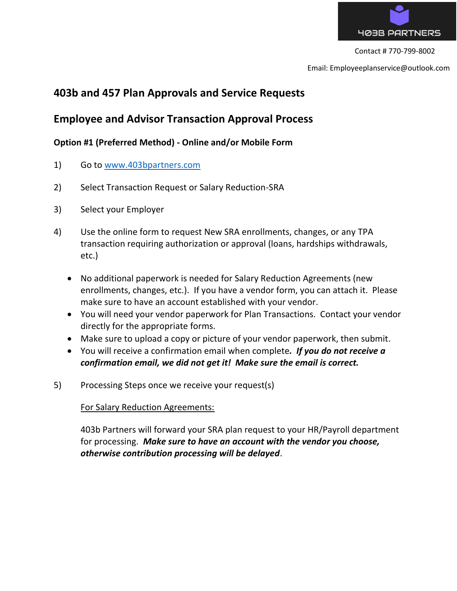

Email: Employeeplanservice@outlook.com

# **403b and 457 Plan Approvals and Service Requests**

## **Employee and Advisor Transaction Approval Process**

## **Option #1 (Preferred Method) - Online and/or Mobile Form**

- 1) Go to [www.403bpartners.com](http://www.403bpartners.com/)
- 2) Select Transaction Request or Salary Reduction-SRA
- 3) Select your Employer
- 4) Use the online form to request New SRA enrollments, changes, or any TPA transaction requiring authorization or approval (loans, hardships withdrawals, etc.)
	- No additional paperwork is needed for Salary Reduction Agreements (new enrollments, changes, etc.). If you have a vendor form, you can attach it. Please make sure to have an account established with your vendor.
	- You will need your vendor paperwork for Plan Transactions. Contact your vendor directly for the appropriate forms.
	- Make sure to upload a copy or picture of your vendor paperwork, then submit.
	- You will receive a confirmation email when complete*. If you do not receive a confirmation email, we did not get it! Make sure the email is correct.*
- 5) Processing Steps once we receive your request(s)

#### For Salary Reduction Agreements:

403b Partners will forward your SRA plan request to your HR/Payroll department for processing. *Make sure to have an account with the vendor you choose, otherwise contribution processing will be delayed*.